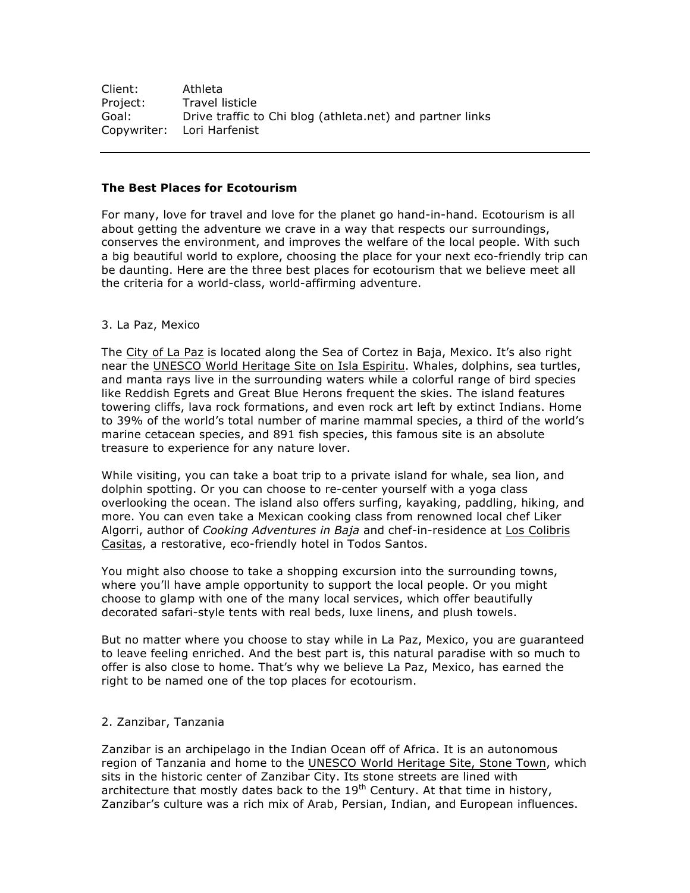| Client:  | Athleta                                                   |
|----------|-----------------------------------------------------------|
| Project: | Travel listicle                                           |
| Goal:    | Drive traffic to Chi blog (athleta.net) and partner links |
|          | Copywriter: Lori Harfenist                                |

## **The Best Places for Ecotourism**

For many, love for travel and love for the planet go hand-in-hand. Ecotourism is all about getting the adventure we crave in a way that respects our surroundings, conserves the environment, and improves the welfare of the local people. With such a big beautiful world to explore, choosing the place for your next eco-friendly trip can be daunting. Here are the three best places for ecotourism that we believe meet all the criteria for a world-class, world-affirming adventure.

## 3. La Paz, Mexico

The City of La Paz is located along the Sea of Cortez in Baja, Mexico. It's also right near the UNESCO World Heritage Site on Isla Espiritu. Whales, dolphins, sea turtles, and manta rays live in the surrounding waters while a colorful range of bird species like Reddish Egrets and Great Blue Herons frequent the skies. The island features towering cliffs, lava rock formations, and even rock art left by extinct Indians. Home to 39% of the world's total number of marine mammal species, a third of the world's marine cetacean species, and 891 fish species, this famous site is an absolute treasure to experience for any nature lover.

While visiting, you can take a boat trip to a private island for whale, sea lion, and dolphin spotting. Or you can choose to re-center yourself with a yoga class overlooking the ocean. The island also offers surfing, kayaking, paddling, hiking, and more. You can even take a Mexican cooking class from renowned local chef Liker Algorri, author of *Cooking Adventures in Baja* and chef-in-residence at Los Colibris Casitas, a restorative, eco-friendly hotel in Todos Santos.

You might also choose to take a shopping excursion into the surrounding towns, where you'll have ample opportunity to support the local people. Or you might choose to glamp with one of the many local services, which offer beautifully decorated safari-style tents with real beds, luxe linens, and plush towels.

But no matter where you choose to stay while in La Paz, Mexico, you are guaranteed to leave feeling enriched. And the best part is, this natural paradise with so much to offer is also close to home. That's why we believe La Paz, Mexico, has earned the right to be named one of the top places for ecotourism.

## 2. Zanzibar, Tanzania

Zanzibar is an archipelago in the Indian Ocean off of Africa. It is an autonomous region of Tanzania and home to the UNESCO World Heritage Site, Stone Town, which sits in the historic center of Zanzibar City. Its stone streets are lined with architecture that mostly dates back to the  $19<sup>th</sup>$  Century. At that time in history, Zanzibar's culture was a rich mix of Arab, Persian, Indian, and European influences.